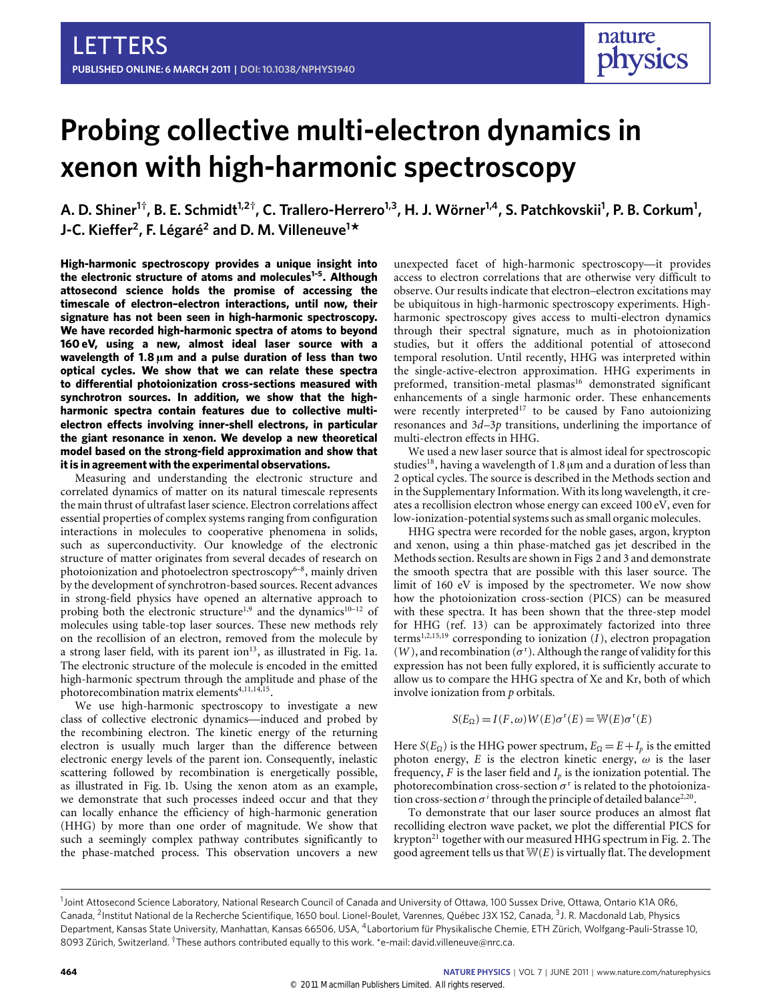# **Probing collective multi-electron dynamics in xenon with high-harmonic spectroscopy**

**A. D. Shiner<sup>1</sup>† , B. E. Schmidt1,2† , C. Trallero-Herrero1,3, H. J. Wörner1,4, S. Patchkovskii<sup>1</sup> , P. B. Corkum<sup>1</sup> , J-C. Kieffer<sup>2</sup> , F. Légaré<sup>2</sup> and D. M. Villeneuve<sup>1</sup> \***

**High-harmonic spectroscopy provides a unique insight into the electronic structure of atoms and molecules[1–](#page-3-0)[5](#page-3-1). Although attosecond science holds the promise of accessing the timescale of electron–electron interactions, until now, their signature has not been seen in high-harmonic spectroscopy. We have recorded high-harmonic spectra of atoms to beyond 160 eV, using a new, almost ideal laser source with a wavelength of 1**.**8** µ**m and a pulse duration of less than two optical cycles. We show that we can relate these spectra to differential photoionization cross-sections measured with synchrotron sources. In addition, we show that the highharmonic spectra contain features due to collective multielectron effects involving inner-shell electrons, in particular the giant resonance in xenon. We develop a new theoretical model based on the strong-field approximation and show that it is in agreement with the experimental observations.**

Measuring and understanding the electronic structure and correlated dynamics of matter on its natural timescale represents the main thrust of ultrafast laser science. Electron correlations affect essential properties of complex systems ranging from configuration interactions in molecules to cooperative phenomena in solids, such as superconductivity. Our knowledge of the electronic structure of matter originates from several decades of research on photoionization and photoelectron spectroscopy $6-8$  $6-8$ , mainly driven by the development of synchrotron-based sources. Recent advances in strong-field physics have opened an alternative approach to probing both the electronic structure<sup>[1](#page-3-0)[,9](#page-3-4)</sup> and the dynamics<sup>[10–](#page-3-5)[12](#page-3-6)</sup> of molecules using table-top laser sources. These new methods rely on the recollision of an electron, removed from the molecule by a strong laser field, with its parent ion<sup>[13](#page-3-7)</sup>, as illustrated in [Fig. 1a](#page-1-0). The electronic structure of the molecule is encoded in the emitted high-harmonic spectrum through the amplitude and phase of the photorecombination matrix elements<sup>[4,](#page-3-8)[11](#page-3-9)[,14,](#page-3-10)[15](#page-3-11)</sup>.

We use high-harmonic spectroscopy to investigate a new class of collective electronic dynamics—induced and probed by the recombining electron. The kinetic energy of the returning electron is usually much larger than the difference between electronic energy levels of the parent ion. Consequently, inelastic scattering followed by recombination is energetically possible, as illustrated in [Fig. 1b](#page-1-0). Using the xenon atom as an example, we demonstrate that such processes indeed occur and that they can locally enhance the efficiency of high-harmonic generation (HHG) by more than one order of magnitude. We show that such a seemingly complex pathway contributes significantly to the phase-matched process. This observation uncovers a new unexpected facet of high-harmonic spectroscopy—it provides access to electron correlations that are otherwise very difficult to observe. Our results indicate that electron–electron excitations may be ubiquitous in high-harmonic spectroscopy experiments. Highharmonic spectroscopy gives access to multi-electron dynamics through their spectral signature, much as in photoionization studies, but it offers the additional potential of attosecond temporal resolution. Until recently, HHG was interpreted within the single-active-electron approximation. HHG experiments in preformed, transition-metal plasmas<sup>[16](#page-3-12)</sup> demonstrated significant enhancements of a single harmonic order. These enhancements were recently interpreted<sup>[17](#page-3-13)</sup> to be caused by Fano autoionizing resonances and 3*d*–3*p* transitions, underlining the importance of multi-electron effects in HHG.

We used a new laser source that is almost ideal for spectroscopic studies<sup>[18](#page-3-14)</sup>, having a wavelength of 1.8  $\mu$ m and a duration of less than 2 optical cycles. The source is described in the Methods section and in the Supplementary Information. With its long wavelength, it creates a recollision electron whose energy can exceed 100 eV, even for low-ionization-potential systems such as small organic molecules.

HHG spectra were recorded for the noble gases, argon, krypton and xenon, using a thin phase-matched gas jet described in the Methods section. Results are shown in [Figs 2](#page-1-1) and [3](#page-2-0) and demonstrate the smooth spectra that are possible with this laser source. The limit of 160 eV is imposed by the spectrometer. We now show how the photoionization cross-section (PICS) can be measured with these spectra. It has been shown that the three-step model for HHG (ref. [13\)](#page-3-7) can be approximately factorized into three terms[1](#page-3-0)[,2,](#page-3-15)[15](#page-3-11)[,19](#page-3-16) corresponding to ionization (*I*), electron propagation  $(W)$ , and recombination  $(\sigma^r)$ . Although the range of validity for this expression has not been fully explored, it is sufficiently accurate to allow us to compare the HHG spectra of Xe and Kr, both of which involve ionization from *p* orbitals.

$$
S(E_{\Omega}) = I(F, \omega)W(E)\sigma^{r}(E) = W(E)\sigma^{r}(E)
$$

Here *S*( $E_{\Omega}$ ) is the HHG power spectrum,  $E_{\Omega} = E + I_p$  is the emitted photon energy,  $E$  is the electron kinetic energy,  $\omega$  is the laser frequency, *F* is the laser field and *I<sup>p</sup>* is the ionization potential. The photorecombination cross-section  $\sigma$ <sup>r</sup> is related to the photoionization cross-section  $\sigma^i$  through the principle of detailed balance<sup>[2,](#page-3-15)[20](#page-3-17)</sup>.

To demonstrate that our laser source produces an almost flat recolliding electron wave packet, we plot the differential PICS for krypton $^{21}$  $^{21}$  $^{21}$  together with our measured HHG spectrum in [Fig. 2.](#page-1-1) The good agreement tells us that W(*E*) is virtually flat. The development

<sup>&</sup>lt;sup>1</sup>Joint Attosecond Science Laboratory, National Research Council of Canada and University of Ottawa, 100 Sussex Drive, Ottawa, Ontario K1A 0R6, Canada, <sup>2</sup>Institut National de la Recherche Scientifique, 1650 boul. Lionel-Boulet, Varennes, Québec J3X 1S2, Canada, <sup>3</sup>J. R. Macdonald Lab, Physics Department, Kansas State University, Manhattan, Kansas 66506, USA, <sup>4</sup>Labortorium für Physikalische Chemie, ETH Zürich, Wolfgang-Pauli-Strasse 10, 8093 Zürich, Switzerland. <sup>†</sup>These authors contributed equally to this work. \*e-mail: [david.villeneuve@nrc.ca.](mailto:david.villeneuve@nrc.ca)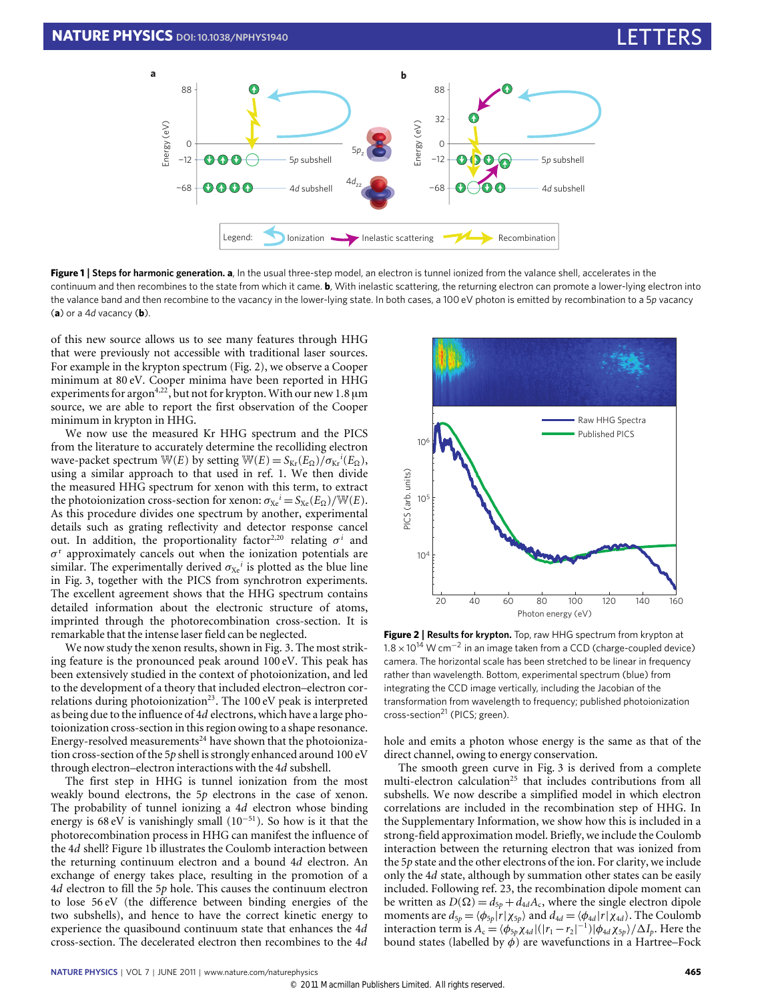



<span id="page-1-0"></span>**Figure 1** Steps for harmonic generation. a, In the usual three-step model, an electron is tunnel ionized from the valance shell, accelerates in the continuum and then recombines to the state from which it came. **b**, With inelastic scattering, the returning electron can promote a lower-lying electron into the valance band and then recombine to the vacancy in the lower-lying state. In both cases, a 100 eV photon is emitted by recombination to a 5*p* vacancy (**a**) or a 4*d* vacancy (**b**).

of this new source allows us to see many features through HHG that were previously not accessible with traditional laser sources. For example in the krypton spectrum [\(Fig. 2\)](#page-1-1), we observe a Cooper minimum at 80 eV. Cooper minima have been reported in HHG experiments for argon<sup>[4](#page-3-8)[,22](#page-3-19)</sup>, but not for krypton. With our new 1.8  $\mu$ m source, we are able to report the first observation of the Cooper minimum in krypton in HHG.

We now use the measured Kr HHG spectrum and the PICS from the literature to accurately determine the recolliding electron wave-packet spectrum  $\mathbb{W}(E)$  by setting  $\mathbb{W}(E) = S_{\text{Kr}}(E_{\Omega}) / \sigma_{\text{Kr}}(E_{\Omega}),$ using a similar approach to that used in ref. [1.](#page-3-0) We then divide the measured HHG spectrum for xenon with this term, to extract the photoionization cross-section for xenon:  $\sigma_{Xe}^i = S_{Xe}(E_{\Omega})/W(E)$ . As this procedure divides one spectrum by another, experimental details such as grating reflectivity and detector response cancel out. In addition, the proportionality factor<sup>[2,](#page-3-15)[20](#page-3-17)</sup> relating  $\sigma^i$  and  $\sigma$ <sup>r</sup> approximately cancels out when the ionization potentials are similar. The experimentally derived  $\sigma_{Xe}^i$  is plotted as the blue line in [Fig. 3,](#page-2-0) together with the PICS from synchrotron experiments. The excellent agreement shows that the HHG spectrum contains detailed information about the electronic structure of atoms, imprinted through the photorecombination cross-section. It is remarkable that the intense laser field can be neglected.

We now study the xenon results, shown in [Fig. 3.](#page-2-0) The most striking feature is the pronounced peak around 100 eV. This peak has been extensively studied in the context of photoionization, and led to the development of a theory that included electron–electron cor-relations during photoionization<sup>[23](#page-3-20)</sup>. The 100 eV peak is interpreted as being due to the influence of 4*d* electrons, which have a large photoionization cross-section in this region owing to a shape resonance. Energy-resolved measurements<sup>[24](#page-3-21)</sup> have shown that the photoionization cross-section of the 5*p* shell is strongly enhanced around 100 eV through electron–electron interactions with the 4*d* subshell.

The first step in HHG is tunnel ionization from the most weakly bound electrons, the 5*p* electrons in the case of xenon. The probability of tunnel ionizing a 4*d* electron whose binding energy is 68 eV is vanishingly small (10<sup>-51</sup>). So how is it that the photorecombination process in HHG can manifest the influence of the 4*d* shell? [Figure 1b](#page-1-0) illustrates the Coulomb interaction between the returning continuum electron and a bound 4*d* electron. An exchange of energy takes place, resulting in the promotion of a 4*d* electron to fill the 5*p* hole. This causes the continuum electron to lose 56 eV (the difference between binding energies of the two subshells), and hence to have the correct kinetic energy to experience the quasibound continuum state that enhances the 4*d* cross-section. The decelerated electron then recombines to the 4*d*



<span id="page-1-1"></span>**Figure 2** | **Results for krypton.** Top, raw HHG spectrum from krypton at 1.8 × 10<sup>14</sup> W cm<sup>-2</sup> in an image taken from a CCD (charge-coupled device) camera. The horizontal scale has been stretched to be linear in frequency rather than wavelength. Bottom, experimental spectrum (blue) from integrating the CCD image vertically, including the Jacobian of the transformation from wavelength to frequency; published photoionization cross-section[21](#page-3-18) (PICS; green).

hole and emits a photon whose energy is the same as that of the direct channel, owing to energy conservation.

The smooth green curve in [Fig. 3](#page-2-0) is derived from a complete multi-electron calculation<sup>[25](#page-3-22)</sup> that includes contributions from all subshells. We now describe a simplified model in which electron correlations are included in the recombination step of HHG. In the Supplementary Information, we show how this is included in a strong-field approximation model. Briefly, we include the Coulomb interaction between the returning electron that was ionized from the 5*p* state and the other electrons of the ion. For clarity, we include only the 4*d* state, although by summation other states can be easily included. Following ref. [23,](#page-3-20) the recombination dipole moment can be written as  $D(\Omega) = d_{5p} + d_{4d}A_c$ , where the single electron dipole moments are  $d_{5p} = \langle \phi_{5p} | r | \chi_{5p} \rangle$  and  $d_{4d} = \langle \phi_{4d} | r | \chi_{4d} \rangle$ . The Coulomb interaction term is  $A_c = \langle \phi_{5p} \chi_{4d} | (|r_1 - r_2|^{-1}) | \phi_{4d} \chi_{5p} \rangle / \Delta I_p$ . Here the bound states (labelled by  $\phi$ ) are wavefunctions in a Hartree–Fock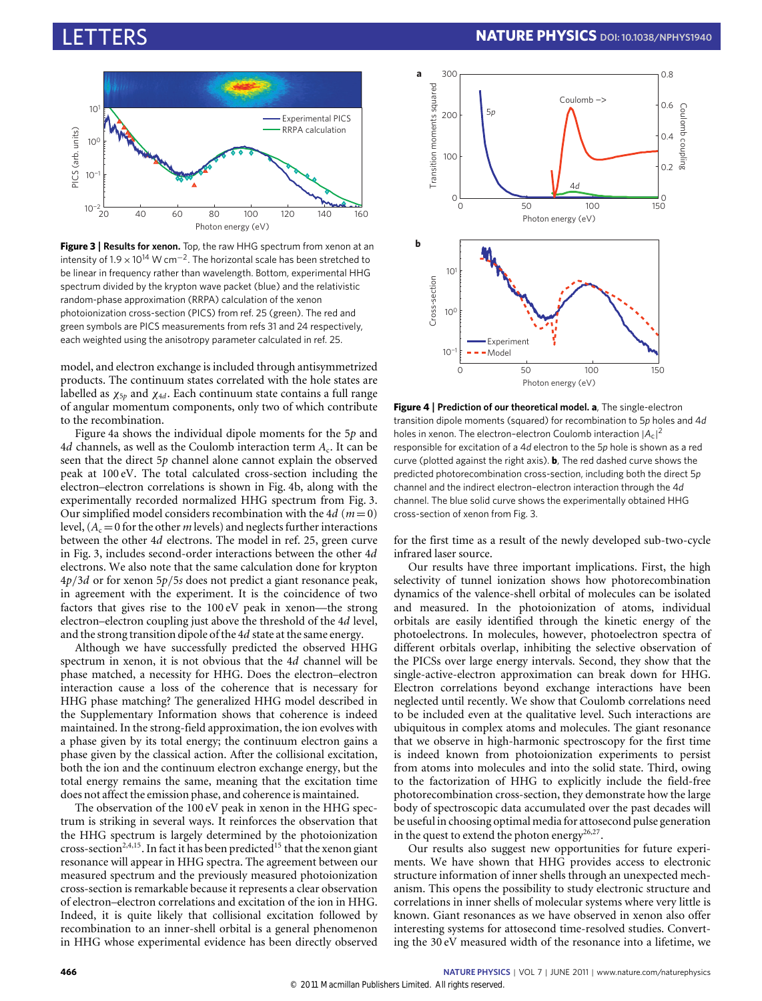

<span id="page-2-0"></span>**Figure 3** | Results for xenon. Top, the raw HHG spectrum from xenon at an intensity of  $1.9 \times 10^{14}$  W cm<sup>-2</sup>. The horizontal scale has been stretched to be linear in frequency rather than wavelength. Bottom, experimental HHG spectrum divided by the krypton wave packet (blue) and the relativistic random-phase approximation (RRPA) calculation of the xenon photoionization cross-section (PICS) from ref. [25](#page-3-22) (green). The red and green symbols are PICS measurements from refs [31](#page-3-23) and [24](#page-3-21) respectively, each weighted using the anisotropy parameter calculated in ref. [25.](#page-3-22)

model, and electron exchange is included through antisymmetrized products. The continuum states correlated with the hole states are labelled as  $\chi_{5p}$  and  $\chi_{4d}$ . Each continuum state contains a full range of angular momentum components, only two of which contribute to the recombination.

[Figure 4a](#page-2-1) shows the individual dipole moments for the 5*p* and 4*d* channels, as well as the Coulomb interaction term *A*<sup>c</sup> . It can be seen that the direct 5*p* channel alone cannot explain the observed peak at 100 eV. The total calculated cross-section including the electron–electron correlations is shown in [Fig. 4b](#page-2-1), along with the experimentally recorded normalized HHG spectrum from [Fig. 3.](#page-2-0) Our simplified model considers recombination with the  $4d$  ( $m=0$ ) level,  $(A_c = 0$  for the other *m* levels) and neglects further interactions between the other 4*d* electrons. The model in ref. [25,](#page-3-22) green curve in [Fig. 3,](#page-2-0) includes second-order interactions between the other 4*d* electrons. We also note that the same calculation done for krypton 4*p*/3*d* or for xenon 5*p*/5*s* does not predict a giant resonance peak, in agreement with the experiment. It is the coincidence of two factors that gives rise to the 100 eV peak in xenon—the strong electron–electron coupling just above the threshold of the 4*d* level, and the strong transition dipole of the 4*d* state at the same energy.

Although we have successfully predicted the observed HHG spectrum in xenon, it is not obvious that the 4*d* channel will be phase matched, a necessity for HHG. Does the electron–electron interaction cause a loss of the coherence that is necessary for HHG phase matching? The generalized HHG model described in the Supplementary Information shows that coherence is indeed maintained. In the strong-field approximation, the ion evolves with a phase given by its total energy; the continuum electron gains a phase given by the classical action. After the collisional excitation, both the ion and the continuum electron exchange energy, but the total energy remains the same, meaning that the excitation time does not affect the emission phase, and coherence is maintained.

The observation of the 100 eV peak in xenon in the HHG spectrum is striking in several ways. It reinforces the observation that the HHG spectrum is largely determined by the photoionization cross-section<sup>[2,](#page-3-15)[4](#page-3-8)[,15](#page-3-11)</sup>. In fact it has been predicted<sup>[15](#page-3-11)</sup> that the xenon giant resonance will appear in HHG spectra. The agreement between our measured spectrum and the previously measured photoionization cross-section is remarkable because it represents a clear observation of electron–electron correlations and excitation of the ion in HHG. Indeed, it is quite likely that collisional excitation followed by recombination to an inner-shell orbital is a general phenomenon in HHG whose experimental evidence has been directly observed



<span id="page-2-1"></span>**Figure 4** | **Prediction of our theoretical model. a**, The single-electron transition dipole moments (squared) for recombination to 5*p* holes and 4*d* holes in xenon. The electron-electron Coulomb interaction  $|A_c|^2$ responsible for excitation of a 4*d* electron to the 5*p* hole is shown as a red curve (plotted against the right axis). **b**, The red dashed curve shows the predicted photorecombination cross-section, including both the direct 5*p* channel and the indirect electron–electron interaction through the 4*d* channel. The blue solid curve shows the experimentally obtained HHG cross-section of xenon from Fig. 3.

for the first time as a result of the newly developed sub-two-cycle infrared laser source.

Our results have three important implications. First, the high selectivity of tunnel ionization shows how photorecombination dynamics of the valence-shell orbital of molecules can be isolated and measured. In the photoionization of atoms, individual orbitals are easily identified through the kinetic energy of the photoelectrons. In molecules, however, photoelectron spectra of different orbitals overlap, inhibiting the selective observation of the PICSs over large energy intervals. Second, they show that the single-active-electron approximation can break down for HHG. Electron correlations beyond exchange interactions have been neglected until recently. We show that Coulomb correlations need to be included even at the qualitative level. Such interactions are ubiquitous in complex atoms and molecules. The giant resonance that we observe in high-harmonic spectroscopy for the first time is indeed known from photoionization experiments to persist from atoms into molecules and into the solid state. Third, owing to the factorization of HHG to explicitly include the field-free photorecombination cross-section, they demonstrate how the large body of spectroscopic data accumulated over the past decades will be useful in choosing optimal media for attosecond pulse generation in the quest to extend the photon energy<sup>[26,](#page-3-24)[27](#page-3-25)</sup>.

Our results also suggest new opportunities for future experiments. We have shown that HHG provides access to electronic structure information of inner shells through an unexpected mechanism. This opens the possibility to study electronic structure and correlations in inner shells of molecular systems where very little is known. Giant resonances as we have observed in xenon also offer interesting systems for attosecond time-resolved studies. Converting the 30 eV measured width of the resonance into a lifetime, we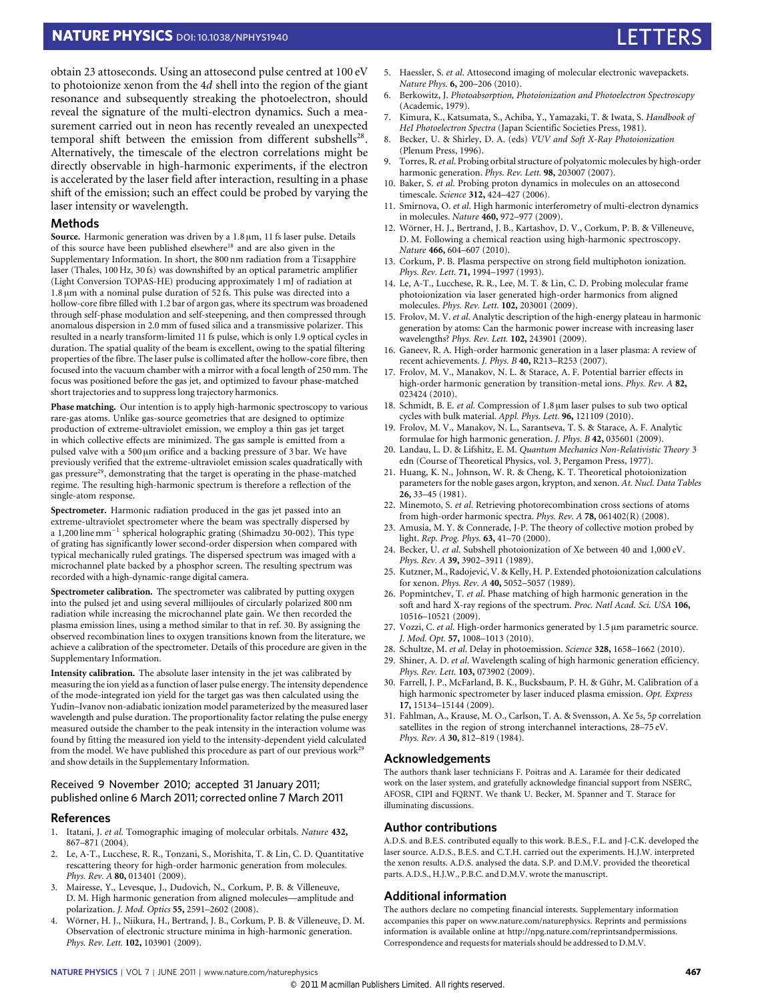### **NATURE PHYSICS** DOI[: 10.1038/NPHYS1940](http://www.nature.com/doifinder/10.1038/nphys1940)



obtain 23 attoseconds. Using an attosecond pulse centred at 100 eV to photoionize xenon from the 4*d* shell into the region of the giant resonance and subsequently streaking the photoelectron, should reveal the signature of the multi-electron dynamics. Such a measurement carried out in neon has recently revealed an unexpected temporal shift between the emission from different subshells<sup>[28](#page-3-26)</sup>. Alternatively, the timescale of the electron correlations might be directly observable in high-harmonic experiments, if the electron is accelerated by the laser field after interaction, resulting in a phase shift of the emission; such an effect could be probed by varying the laser intensity or wavelength.

### **Methods**

**Source.** Harmonic generation was driven by a 1.8 µm, 11 fs laser pulse. Details of this source have been published elsewhere<sup>[18](#page-3-14)</sup> and are also given in the Supplementary Information. In short, the 800 nm radiation from a Ti:sapphire laser (Thales, 100 Hz, 30 fs) was downshifted by an optical parametric amplifier (Light Conversion TOPAS-HE) producing approximately 1 mJ of radiation at 1.8 µm with a nominal pulse duration of 52 fs. This pulse was directed into a hollow-core fibre filled with 1.2 bar of argon gas, where its spectrum was broadened through self-phase modulation and self-steepening, and then compressed through anomalous dispersion in 2.0 mm of fused silica and a transmissive polarizer. This resulted in a nearly transform-limited 11 fs pulse, which is only 1.9 optical cycles in duration. The spatial quality of the beam is excellent, owing to the spatial filtering properties of the fibre. The laser pulse is collimated after the hollow-core fibre, then focused into the vacuum chamber with a mirror with a focal length of 250 mm. The focus was positioned before the gas jet, and optimized to favour phase-matched short trajectories and to suppress long trajectory harmonics.

**Phase matching.** Our intention is to apply high-harmonic spectroscopy to various rare-gas atoms. Unlike gas-source geometries that are designed to optimize production of extreme-ultraviolet emission, we employ a thin gas jet target in which collective effects are minimized. The gas sample is emitted from a pulsed valve with a 500 µm orifice and a backing pressure of 3 bar. We have previously verified that the extreme-ultraviolet emission scales quadratically with gas pressure<sup>[29](#page-3-27)</sup>, demonstrating that the target is operating in the phase-matched regime. The resulting high-harmonic spectrum is therefore a reflection of the single-atom response.

**Spectrometer.** Harmonic radiation produced in the gas jet passed into an extreme-ultraviolet spectrometer where the beam was spectrally dispersed by a 1,200 line mm<sup>−</sup><sup>1</sup> spherical holographic grating (Shimadzu 30-002). This type of grating has significantly lower second-order dispersion when compared with typical mechanically ruled gratings. The dispersed spectrum was imaged with a microchannel plate backed by a phosphor screen. The resulting spectrum was recorded with a high-dynamic-range digital camera.

**Spectrometer calibration.** The spectrometer was calibrated by putting oxygen into the pulsed jet and using several millijoules of circularly polarized 800 nm radiation while increasing the microchannel plate gain. We then recorded the plasma emission lines, using a method similar to that in ref. [30.](#page-3-28) By assigning the observed recombination lines to oxygen transitions known from the literature, we achieve a calibration of the spectrometer. Details of this procedure are given in the Supplementary Information.

**Intensity calibration.** The absolute laser intensity in the jet was calibrated by measuring the ion yield as a function of laser pulse energy. The intensity dependence of the mode-integrated ion yield for the target gas was then calculated using the Yudin–Ivanov non-adiabatic ionization model parameterized by the measured laser wavelength and pulse duration. The proportionality factor relating the pulse energy measured outside the chamber to the peak intensity in the interaction volume was found by fitting the measured ion yield to the intensity-dependent yield calculated from the model. We have published this procedure as part of our previous work<sup>[29](#page-3-27)</sup> and show details in the Supplementary Information.

### Received 9 November 2010; accepted 31 January 2011; published online 6 March 2011; corrected online 7 March 2011

#### **References**

- <span id="page-3-0"></span>1. Itatani, J. *et al*. Tomographic imaging of molecular orbitals. *Nature* **432,** 867–871 (2004).
- <span id="page-3-15"></span>2. Le, A-T., Lucchese, R. R., Tonzani, S., Morishita, T. & Lin, C. D. Quantitative rescattering theory for high-order harmonic generation from molecules. *Phys. Rev. A* **80,** 013401 (2009).
- 3. Mairesse, Y., Levesque, J., Dudovich, N., Corkum, P. B. & Villeneuve, D. M. High harmonic generation from aligned molecules—amplitude and polarization. *J. Mod. Optics* **55,** 2591–2602 (2008).
- <span id="page-3-8"></span>4. Wörner, H. J., Niikura, H., Bertrand, J. B., Corkum, P. B. & Villeneuve, D. M. Observation of electronic structure minima in high-harmonic generation. *Phys. Rev. Lett.* **102,** 103901 (2009).
- <span id="page-3-1"></span>5. Haessler, S. *et al*. Attosecond imaging of molecular electronic wavepackets. *Nature Phys.* **6,** 200–206 (2010).
- <span id="page-3-2"></span>6. Berkowitz, J. *Photoabsorption, Photoionization and Photoelectron Spectroscopy* (Academic, 1979).
- 7. Kimura, K., Katsumata, S., Achiba, Y., Yamazaki, T. & Iwata, S. *Handbook of HeI Photoelectron Spectra* (Japan Scientific Societies Press, 1981).
- <span id="page-3-3"></span>8. Becker, U. & Shirley, D. A. (eds) *VUV and Soft X-Ray Photoionization* (Plenum Press, 1996).
- <span id="page-3-4"></span>9. Torres, R.*et al*. Probing orbital structure of polyatomic molecules by high-order harmonic generation. *Phys. Rev. Lett.* **98,** 203007 (2007).
- <span id="page-3-5"></span>10. Baker, S. *et al*. Probing proton dynamics in molecules on an attosecond timescale. *Science* **312,** 424–427 (2006).
- <span id="page-3-9"></span>11. Smirnova, O. *et al*. High harmonic interferometry of multi-electron dynamics in molecules. *Nature* **460,** 972–977 (2009).
- <span id="page-3-6"></span>12. Wörner, H. J., Bertrand, J. B., Kartashov, D. V., Corkum, P. B. & Villeneuve, D. M. Following a chemical reaction using high-harmonic spectroscopy. *Nature* **466,** 604–607 (2010).
- <span id="page-3-7"></span>13. Corkum, P. B. Plasma perspective on strong field multiphoton ionization. *Phys. Rev. Lett.* **71,** 1994–1997 (1993).
- <span id="page-3-10"></span>14. Le, A-T., Lucchese, R. R., Lee, M. T. & Lin, C. D. Probing molecular frame photoionization via laser generated high-order harmonics from aligned molecules. *Phys. Rev. Lett.* **102,** 203001 (2009).
- <span id="page-3-11"></span>15. Frolov, M. V. *et al*. Analytic description of the high-energy plateau in harmonic generation by atoms: Can the harmonic power increase with increasing laser wavelengths? *Phys. Rev. Lett.* **102,** 243901 (2009).
- <span id="page-3-12"></span>16. Ganeev, R. A. High-order harmonic generation in a laser plasma: A review of recent achievements. *J. Phys. B* **40,** R213–R253 (2007).
- <span id="page-3-13"></span>17. Frolov, M. V., Manakov, N. L. & Starace, A. F. Potential barrier effects in high-order harmonic generation by transition-metal ions. *Phys. Rev. A* **82,** 023424 (2010).
- <span id="page-3-14"></span>18. Schmidt, B. E. *et al*. Compression of 1.8 µm laser pulses to sub two optical cycles with bulk material. *Appl. Phys. Lett.* **96,** 121109 (2010).
- <span id="page-3-16"></span>19. Frolov, M. V., Manakov, N. L., Sarantseva, T. S. & Starace, A. F. Analytic formulae for high harmonic generation. *J. Phys. B* **42,** 035601 (2009).
- <span id="page-3-17"></span>20. Landau, L. D. & Lifshitz, E. M. *Quantum Mechanics Non-Relativistic Theory* 3 edn (Course of Theoretical Physics, vol. 3, Pergamon Press, 1977).
- <span id="page-3-18"></span>21. Huang, K. N., Johnson, W. R. & Cheng, K. T. Theoretical photoionization parameters for the noble gases argon, krypton, and xenon. *At. Nucl. Data Tables* **26,** 33–45 (1981).
- <span id="page-3-19"></span>22. Minemoto, S. *et al*. Retrieving photorecombination cross sections of atoms from high-order harmonic spectra. *Phys. Rev. A* **78,** 061402(R) (2008).
- <span id="page-3-20"></span>23. Amusia, M. Y. & Connerade, J-P. The theory of collective motion probed by light. *Rep. Prog. Phys.* **63,** 41–70 (2000).
- <span id="page-3-21"></span>24. Becker, U. *et al*. Subshell photoionization of Xe between 40 and 1,000 eV. *Phys. Rev. A* **39,** 3902–3911 (1989).
- <span id="page-3-22"></span>25. Kutzner, M., Radojević, V. & Kelly, H. P. Extended photoionization calculations for xenon. *Phys. Rev. A* **40,** 5052–5057 (1989).
- <span id="page-3-24"></span>26. Popmintchev, T. *et al*. Phase matching of high harmonic generation in the soft and hard X-ray regions of the spectrum. *Proc. Natl Acad. Sci. USA* **106,** 10516–10521 (2009).
- <span id="page-3-25"></span>27. Vozzi, C. *et al*. High-order harmonics generated by 1.5 µm parametric source. *J. Mod. Opt.* **57,** 1008–1013 (2010).
- <span id="page-3-26"></span>28. Schultze, M. *et al*. Delay in photoemission. *Science* **328,** 1658–1662 (2010).
- <span id="page-3-27"></span>29. Shiner, A. D. *et al*. Wavelength scaling of high harmonic generation efficiency. *Phys. Rev. Lett.* **103,** 073902 (2009).
- <span id="page-3-28"></span>30. Farrell, J. P., McFarland, B. K., Bucksbaum, P. H. & Gühr, M. Calibration of a high harmonic spectrometer by laser induced plasma emission. *Opt. Express* **17,** 15134–15144 (2009).
- <span id="page-3-23"></span>31. Fahlman, A., Krause, M. O., Carlson, T. A. & Svensson, A. Xe 5*s*, 5*p* correlation satellites in the region of strong interchannel interactions, 28–75 eV. *Phys. Rev. A* **30,** 812–819 (1984).

### **Acknowledgements**

The authors thank laser technicians F. Poitras and A. Laramée for their dedicated work on the laser system, and gratefully acknowledge financial support from NSERC, AFOSR, CIPI and FQRNT. We thank U. Becker, M. Spanner and T. Starace for illuminating discussions.

### **Author contributions**

A.D.S. and B.E.S. contributed equally to this work. B.E.S., F.L. and J-C.K. developed the laser source. A.D.S., B.E.S. and C.T.H. carried out the experiments. H.J.W. interpreted the xenon results. A.D.S. analysed the data. S.P. and D.M.V. provided the theoretical parts. A.D.S., H.J.W., P.B.C. and D.M.V. wrote the manuscript.

### **Additional information**

The authors declare no competing financial interests. Supplementary information accompanies this paper on [www.nature.com/naturephysics.](http://www.nature.com/naturephysics) Reprints and permissions information is available online at [http://npg.nature.com/reprintsandpermissions.](http://npg.nature.com/reprintsandpermissions) Correspondence and requests for materials should be addressed to D.M.V.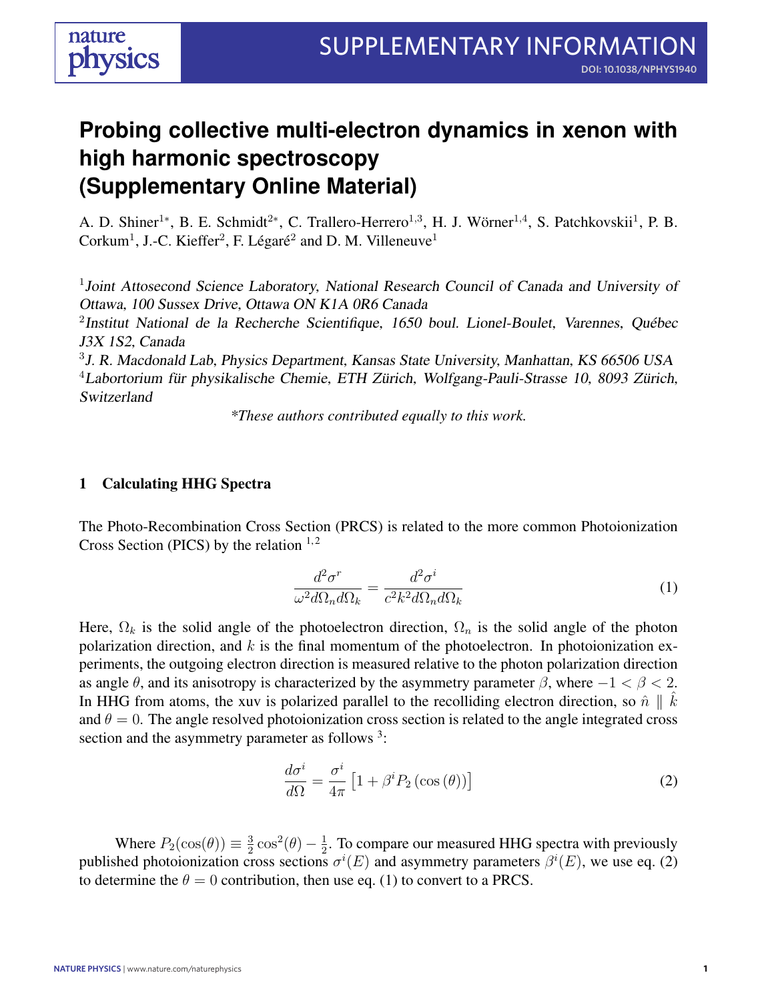## **Probing collective multi-electron dynamics in xenon with high harmonic spectroscopy (Supplementary Online Material)**

A. D. Shiner<sup>1∗</sup>, B. E. Schmidt<sup>2∗</sup>, C. Trallero-Herrero<sup>1,3</sup>, H. J. Wörner<sup>1,4</sup>, S. Patchkovskii<sup>1</sup>, P. B. Corkum<sup>1</sup>, J.-C. Kieffer<sup>2</sup>, F. Légaré<sup>2</sup> and D. M. Villeneuve<sup>1</sup>

<sup>1</sup>*Joint Attosecond Science Laboratory, National Research Council of Canada and University of Ottawa, 100 Sussex Drive, Ottawa ON K1A 0R6 Canada*

<sup>2</sup>*Institut National de la Recherche Scientifique, 1650 boul. Lionel-Boulet, Varennes, Quebec ´ J3X 1S2, Canada*

<sup>3</sup>*J. R. Macdonald Lab, Physics Department, Kansas State University, Manhattan, KS 66506 USA* <sup>4</sup>*Labortorium fur physikalische Chemie, ETH Z ¨ urich, Wolfgang-Pauli-Strasse 10, 8093 Z ¨ urich, ¨ Switzerland*

*\*These authors contributed equally to this work.*

### 1 Calculating HHG Spectra

The Photo-Recombination Cross Section (PRCS) is related to the more common Photoionization Cross Section (PICS) by the relation  $1,2$ 

$$
\frac{d^2\sigma^r}{\omega^2 d\Omega_n d\Omega_k} = \frac{d^2\sigma^i}{c^2 k^2 d\Omega_n d\Omega_k} \tag{1}
$$

Here,  $\Omega_k$  is the solid angle of the photoelectron direction,  $\Omega_n$  is the solid angle of the photon polarization direction, and  $k$  is the final momentum of the photoelectron. In photoionization experiments, the outgoing electron direction is measured relative to the photon polarization direction as angle  $\theta$ , and its anisotropy is characterized by the asymmetry parameter  $\beta$ , where  $-1 < \beta < 2$ . In HHG from atoms, the xuv is polarized parallel to the recolliding electron direction, so  $\hat{n} \parallel \hat{k}$ and  $\theta = 0$ . The angle resolved photoionization cross section is related to the angle integrated cross section and the asymmetry parameter as follows <sup>3</sup>:

$$
\frac{d\sigma^i}{d\Omega} = \frac{\sigma^i}{4\pi} \left[ 1 + \beta^i P_2 \left( \cos(\theta) \right) \right]
$$
 (2)

Where  $P_2(\cos(\theta)) \equiv \frac{3}{2} \cos^2(\theta) - \frac{1}{2}$ . To compare our measured HHG spectra with previously published photoionization cross sections  $\sigma^{i}(E)$  and asymmetry parameters  $\beta^{i}(E)$ , we use eq. (2) to determine the  $\theta = 0$  contribution, then use eq. (1) to convert to a PRCS.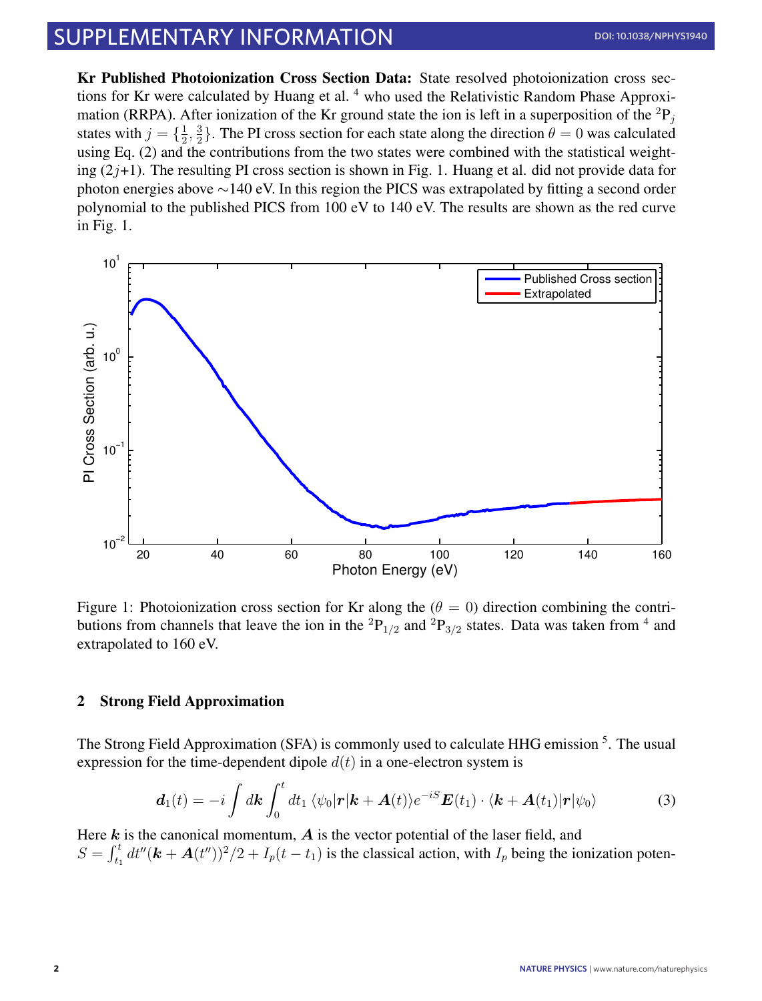## supplementary information **doi: 10.1038/nphys1940**

Kr Published Photoionization Cross Section Data: State resolved photoionization cross sections for Kr were calculated by Huang et al.<sup>4</sup> who used the Relativistic Random Phase Approximation (RRPA). After ionization of the Kr ground state the ion is left in a superposition of the <sup>2</sup>P<sub>j</sub> states with  $j = \{\frac{1}{2}, \frac{3}{2}\}\.$  The PI cross section for each state along the direction  $\theta = 0$  was calculated using Eq. (2) and the contributions from the two states were combined with the statistical weighting  $(2j+1)$ . The resulting PI cross section is shown in Fig. 1. Huang et al. did not provide data for photon energies above ∼140 eV. In this region the PICS was extrapolated by fitting a second order polynomial to the published PICS from 100 eV to 140 eV. The results are shown as the red curve in Fig. 1.



Figure 1: Photoionization cross section for Kr along the  $(\theta = 0)$  direction combining the contributions from channels that leave the ion in the  ${}^{2}P_{1/2}$  and  ${}^{2}P_{3/2}$  states. Data was taken from <sup>4</sup> and extrapolated to 160 eV.

### 2 Strong Field Approximation

The Strong Field Approximation (SFA) is commonly used to calculate HHG emission<sup>5</sup>. The usual expression for the time-dependent dipole  $d(t)$  in a one-electron system is

$$
\boldsymbol{d}_1(t) = -i \int d\boldsymbol{k} \int_0^t dt_1 \langle \psi_0 | \boldsymbol{r} | \boldsymbol{k} + \boldsymbol{A}(t) \rangle e^{-iS} \boldsymbol{E}(t_1) \cdot \langle \boldsymbol{k} + \boldsymbol{A}(t_1) | \boldsymbol{r} | \psi_0 \rangle \tag{3}
$$

Here  $k$  is the canonical momentum,  $A$  is the vector potential of the laser field, and  $S = \int_{t_1}^t dt''(\mathbf{k} + \mathbf{A}(t''))^2/2 + I_p(t - t_1)$  is the classical action, with  $I_p$  being the ionization poten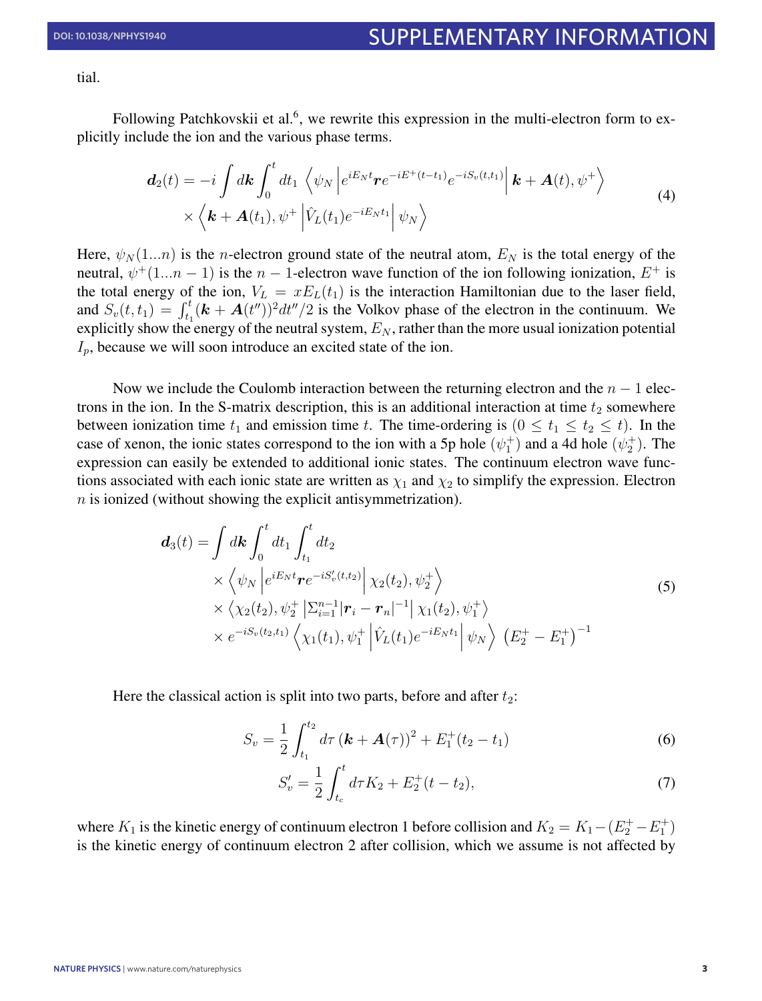tial.

Following Patchkovskii et al.<sup>6</sup>, we rewrite this expression in the multi-electron form to explicitly include the ion and the various phase terms.

$$
\mathbf{d}_2(t) = -i \int d\mathbf{k} \int_0^t dt_1 \left\langle \psi_N \left| e^{iE_N t} \mathbf{r} e^{-iE^+(t-t_1)} e^{-iS_v(t,t_1)} \right| \mathbf{k} + \mathbf{A}(t), \psi^+ \right\rangle
$$
  
 
$$
\times \left\langle \mathbf{k} + \mathbf{A}(t_1), \psi^+ \left| \hat{V}_L(t_1) e^{-iE_N t_1} \right| \psi_N \right\rangle
$$
 (4)

Here,  $\psi_N(1...n)$  is the *n*-electron ground state of the neutral atom,  $E_N$  is the total energy of the neutral,  $\psi^+(1...n-1)$  is the n – 1-electron wave function of the ion following ionization,  $E^+$  is the total energy of the ion,  $V_L = xE_L(t_1)$  is the interaction Hamiltonian due to the laser field, and  $S_v(t, t_1) = \int_{t_1}^t (k + A(t''))^2 dt''/2$  is the Volkov phase of the electron in the continuum. We explicitly show the energy of the neutral system,  $E_N$ , rather than the more usual ionization potential  $I_p$ , because we will soon introduce an excited state of the ion.

Now we include the Coulomb interaction between the returning electron and the  $n - 1$  electrons in the ion. In the S-matrix description, this is an additional interaction at time  $t_2$  somewhere between ionization time  $t_1$  and emission time t. The time-ordering is  $(0 \le t_1 \le t_2 \le t)$ . In the case of xenon, the ionic states correspond to the ion with a 5p hole  $(\psi_1^+)$  and a 4d hole  $(\psi_2^+)$ . The expression can easily be extended to additional ionic states. The continuum electron wave functions associated with each ionic state are written as  $\chi_1$  and  $\chi_2$  to simplify the expression. Electron n is ionized (without showing the explicit antisymmetrization).

$$
\mathbf{d}_{3}(t) = \int d\mathbf{k} \int_{0}^{t} dt_{1} \int_{t_{1}}^{t} dt_{2} \times \left\langle \psi_{N} \left| e^{iE_{N}t} \mathbf{r} e^{-iS_{V}^{\prime}(t,t_{2})} \right| \chi_{2}(t_{2}), \psi_{2}^{+} \right\rangle \times \left\langle \chi_{2}(t_{2}), \psi_{2}^{+} \left| \sum_{i=1}^{n-1} |\mathbf{r}_{i} - \mathbf{r}_{n}|^{-1} \right| \chi_{1}(t_{2}), \psi_{1}^{+} \right\rangle \times e^{-iS_{v}(t_{2},t_{1})} \left\langle \chi_{1}(t_{1}), \psi_{1}^{+} \left| \hat{V}_{L}(t_{1}) e^{-iE_{N}t_{1}} \right| \psi_{N} \right\rangle (E_{2}^{+} - E_{1}^{+})^{-1}
$$
\n(5)

Here the classical action is split into two parts, before and after  $t_2$ :

$$
S_v = \frac{1}{2} \int_{t_1}^{t_2} d\tau \left( \mathbf{k} + \mathbf{A}(\tau) \right)^2 + E_1^+(t_2 - t_1)
$$
 (6)

$$
S_v' = \frac{1}{2} \int_{t_c}^t d\tau K_2 + E_2^+(t - t_2),\tag{7}
$$

where  $K_1$  is the kinetic energy of continuum electron 1 before collision and  $K_2 = K_1 - (E_2^+ - E_1^+)$ is the kinetic energy of continuum electron 2 after collision, which we assume is not affected by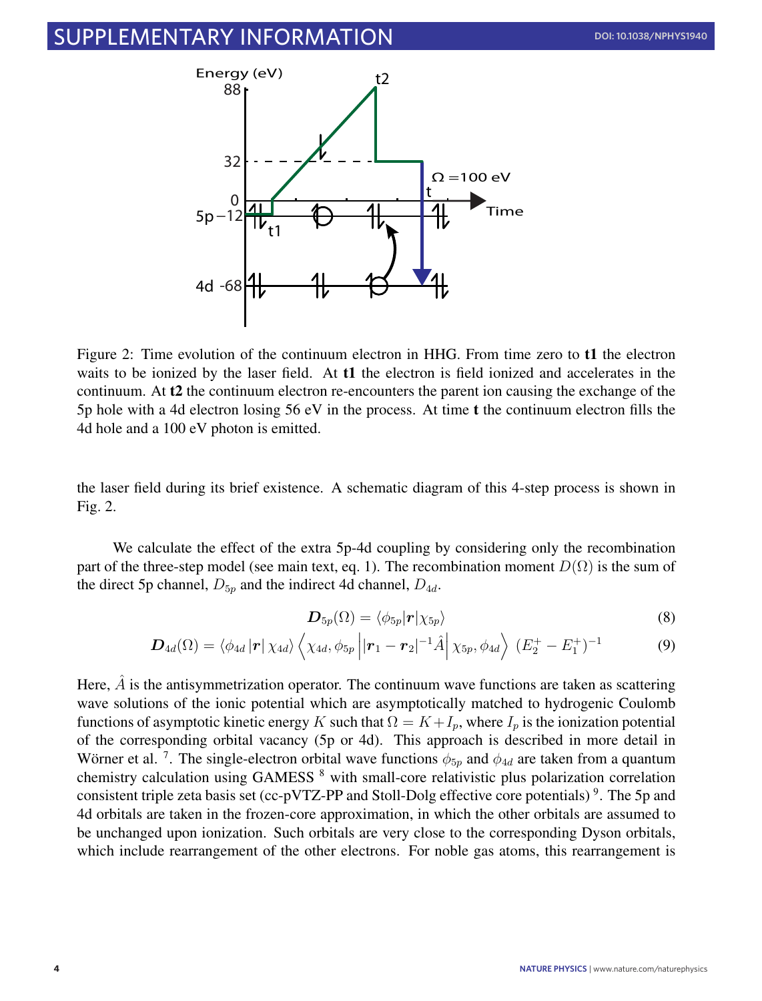

Figure 2: Time evolution of the continuum electron in HHG. From time zero to t1 the electron waits to be ionized by the laser field. At t1 the electron is field ionized and accelerates in the continuum. At t2 the continuum electron re-encounters the parent ion causing the exchange of the 5p hole with a 4d electron losing 56 eV in the process. At time t the continuum electron fills the 4d hole and a 100 eV photon is emitted.

the laser field during its brief existence. A schematic diagram of this 4-step process is shown in Fig. 2.

We calculate the effect of the extra 5p-4d coupling by considering only the recombination part of the three-step model (see main text, eq. 1). The recombination moment  $D(\Omega)$  is the sum of the direct 5p channel,  $D_{5p}$  and the indirect 4d channel,  $D_{4d}$ .

$$
\boldsymbol{D}_{5p}(\Omega) = \langle \phi_{5p} | \boldsymbol{r} | \chi_{5p} \rangle \tag{8}
$$

$$
\boldsymbol{D}_{4d}(\Omega) = \langle \phi_{4d} | \boldsymbol{r} | \chi_{4d} \rangle \langle \chi_{4d}, \phi_{5p} | \boldsymbol{r}_1 - \boldsymbol{r}_2 |^{-1} \hat{A} | \chi_{5p}, \phi_{4d} \rangle \ (E_2^+ - E_1^+)^{-1}
$$
(9)

Here,  $\hat{A}$  is the antisymmetrization operator. The continuum wave functions are taken as scattering wave solutions of the ionic potential which are asymptotically matched to hydrogenic Coulomb functions of asymptotic kinetic energy K such that  $\Omega = K + I_p$ , where  $I_p$  is the ionization potential of the corresponding orbital vacancy (5p or 4d). This approach is described in more detail in Wörner et al. <sup>7</sup>. The single-electron orbital wave functions  $\phi_{5p}$  and  $\phi_{4d}$  are taken from a quantum chemistry calculation using GAMESS <sup>8</sup> with small-core relativistic plus polarization correlation consistent triple zeta basis set (cc-pVTZ-PP and Stoll-Dolg effective core potentials) 9. The 5p and 4d orbitals are taken in the frozen-core approximation, in which the other orbitals are assumed to be unchanged upon ionization. Such orbitals are very close to the corresponding Dyson orbitals, which include rearrangement of the other electrons. For noble gas atoms, this rearrangement is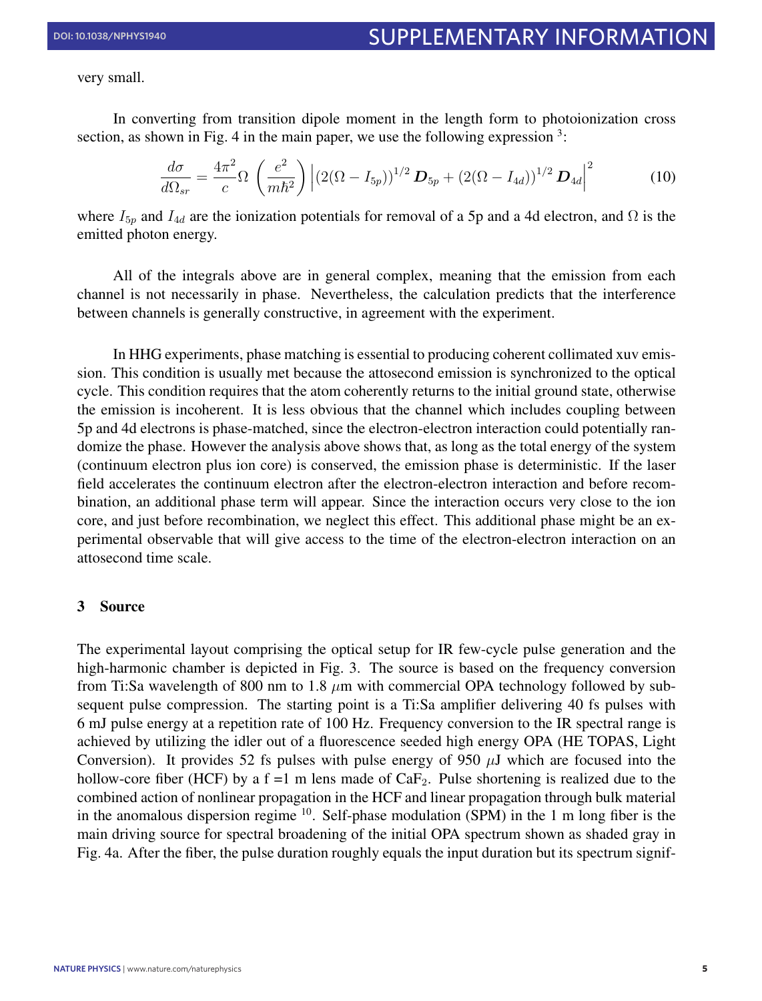very small.

In converting from transition dipole moment in the length form to photoionization cross section, as shown in Fig. 4 in the main paper, we use the following expression  $3$ :

$$
\frac{d\sigma}{d\Omega_{sr}} = \frac{4\pi^2}{c} \Omega \left(\frac{e^2}{m\hbar^2}\right) \left[ (2(\Omega - I_{5p}))^{1/2} \mathbf{D}_{5p} + (2(\Omega - I_{4d}))^{1/2} \mathbf{D}_{4d} \right]^2 \tag{10}
$$

where  $I_{5p}$  and  $I_{4d}$  are the ionization potentials for removal of a 5p and a 4d electron, and  $\Omega$  is the emitted photon energy.

All of the integrals above are in general complex, meaning that the emission from each channel is not necessarily in phase. Nevertheless, the calculation predicts that the interference between channels is generally constructive, in agreement with the experiment.

In HHG experiments, phase matching is essential to producing coherent collimated xuv emission. This condition is usually met because the attosecond emission is synchronized to the optical cycle. This condition requires that the atom coherently returns to the initial ground state, otherwise the emission is incoherent. It is less obvious that the channel which includes coupling between 5p and 4d electrons is phase-matched, since the electron-electron interaction could potentially randomize the phase. However the analysis above shows that, as long as the total energy of the system (continuum electron plus ion core) is conserved, the emission phase is deterministic. If the laser field accelerates the continuum electron after the electron-electron interaction and before recombination, an additional phase term will appear. Since the interaction occurs very close to the ion core, and just before recombination, we neglect this effect. This additional phase might be an experimental observable that will give access to the time of the electron-electron interaction on an attosecond time scale.

### 3 Source

The experimental layout comprising the optical setup for IR few-cycle pulse generation and the high-harmonic chamber is depicted in Fig. 3. The source is based on the frequency conversion from Ti:Sa wavelength of 800 nm to 1.8  $\mu$ m with commercial OPA technology followed by subsequent pulse compression. The starting point is a Ti:Sa amplifier delivering 40 fs pulses with 6 mJ pulse energy at a repetition rate of 100 Hz. Frequency conversion to the IR spectral range is achieved by utilizing the idler out of a fluorescence seeded high energy OPA (HE TOPAS, Light Conversion). It provides 52 fs pulses with pulse energy of 950  $\mu$ J which are focused into the hollow-core fiber (HCF) by a f =1 m lens made of  $CaF_2$ . Pulse shortening is realized due to the combined action of nonlinear propagation in the HCF and linear propagation through bulk material in the anomalous dispersion regime  $10$ . Self-phase modulation (SPM) in the 1 m long fiber is the main driving source for spectral broadening of the initial OPA spectrum shown as shaded gray in Fig. 4a. After the fiber, the pulse duration roughly equals the input duration but its spectrum signif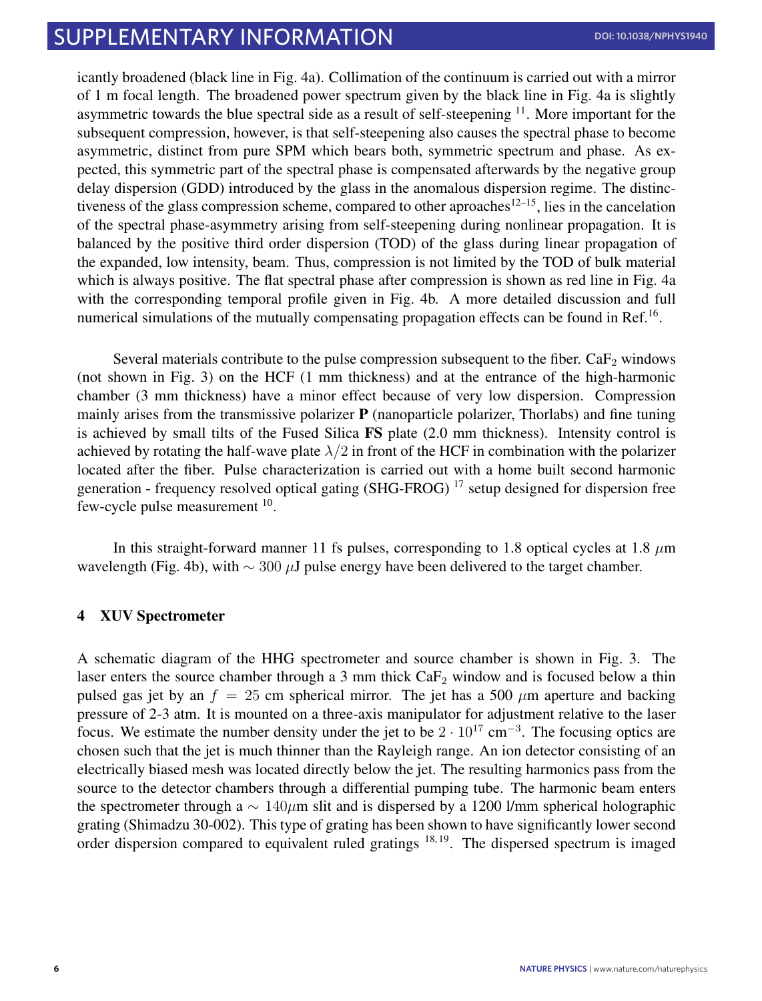icantly broadened (black line in Fig. 4a). Collimation of the continuum is carried out with a mirror of 1 m focal length. The broadened power spectrum given by the black line in Fig. 4a is slightly asymmetric towards the blue spectral side as a result of self-steepening 11. More important for the subsequent compression, however, is that self-steepening also causes the spectral phase to become asymmetric, distinct from pure SPM which bears both, symmetric spectrum and phase. As expected, this symmetric part of the spectral phase is compensated afterwards by the negative group delay dispersion (GDD) introduced by the glass in the anomalous dispersion regime. The distinctiveness of the glass compression scheme, compared to other aproaches<sup>12–15</sup>, lies in the cancelation of the spectral phase-asymmetry arising from self-steepening during nonlinear propagation. It is balanced by the positive third order dispersion (TOD) of the glass during linear propagation of the expanded, low intensity, beam. Thus, compression is not limited by the TOD of bulk material which is always positive. The flat spectral phase after compression is shown as red line in Fig. 4a with the corresponding temporal profile given in Fig. 4b. A more detailed discussion and full numerical simulations of the mutually compensating propagation effects can be found in Ref.<sup>16</sup>.

Several materials contribute to the pulse compression subsequent to the fiber.  $CaF<sub>2</sub>$  windows (not shown in Fig. 3) on the HCF (1 mm thickness) and at the entrance of the high-harmonic chamber (3 mm thickness) have a minor effect because of very low dispersion. Compression mainly arises from the transmissive polarizer  $P$  (nanoparticle polarizer, Thorlabs) and fine tuning is achieved by small tilts of the Fused Silica FS plate (2.0 mm thickness). Intensity control is achieved by rotating the half-wave plate  $\lambda/2$  in front of the HCF in combination with the polarizer located after the fiber. Pulse characterization is carried out with a home built second harmonic generation - frequency resolved optical gating (SHG-FROG) <sup>17</sup> setup designed for dispersion free few-cycle pulse measurement 10.

In this straight-forward manner 11 fs pulses, corresponding to 1.8 optical cycles at 1.8  $\mu$ m wavelength (Fig. 4b), with  $\sim 300 \,\mu$ J pulse energy have been delivered to the target chamber.

### 4 XUV Spectrometer

A schematic diagram of the HHG spectrometer and source chamber is shown in Fig. 3. The laser enters the source chamber through a 3 mm thick  $CaF<sub>2</sub>$  window and is focused below a thin pulsed gas jet by an  $f = 25$  cm spherical mirror. The jet has a 500  $\mu$ m aperture and backing pressure of 2-3 atm. It is mounted on a three-axis manipulator for adjustment relative to the laser focus. We estimate the number density under the jet to be  $2 \cdot 10^{17}$  cm<sup>-3</sup>. The focusing optics are chosen such that the jet is much thinner than the Rayleigh range. An ion detector consisting of an electrically biased mesh was located directly below the jet. The resulting harmonics pass from the source to the detector chambers through a differential pumping tube. The harmonic beam enters the spectrometer through a  $\sim 140 \mu m$  slit and is dispersed by a 1200 l/mm spherical holographic grating (Shimadzu 30-002). This type of grating has been shown to have significantly lower second order dispersion compared to equivalent ruled gratings <sup>18, 19</sup>. The dispersed spectrum is imaged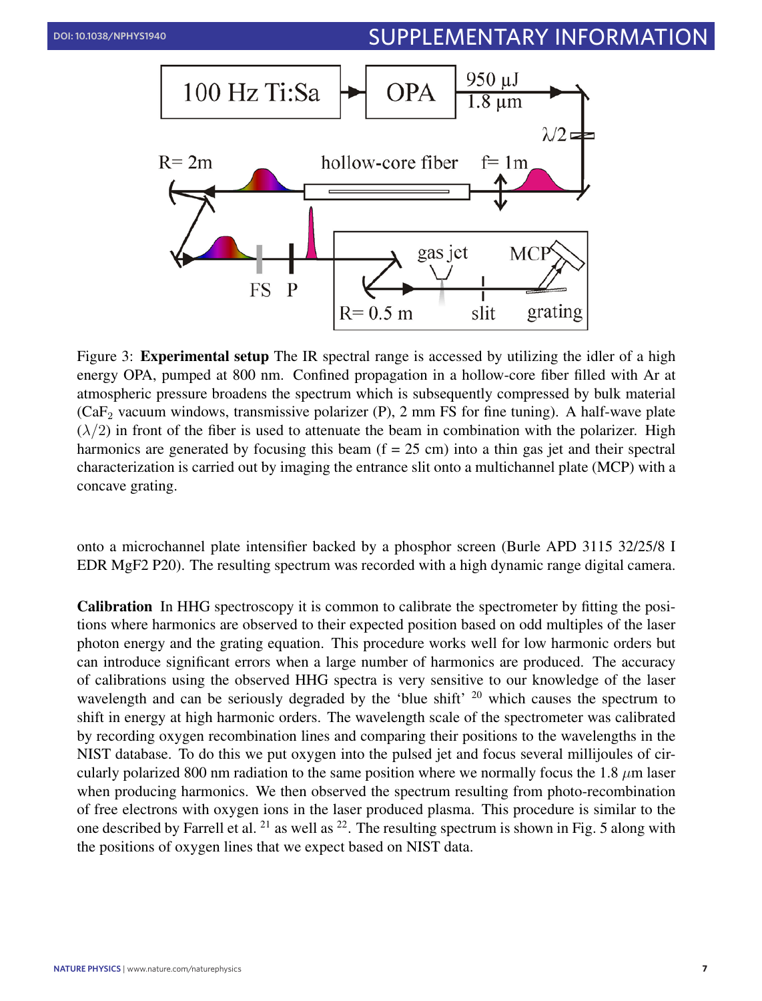

Figure 3: Experimental setup The IR spectral range is accessed by utilizing the idler of a high energy OPA, pumped at 800 nm. Confined propagation in a hollow-core fiber filled with Ar at atmospheric pressure broadens the spectrum which is subsequently compressed by bulk material  $(CaF<sub>2</sub> vacuum windows, transmissible polarizer (P), 2 mm FS for fine tuning). A half-wave plate$  $(\lambda/2)$  in front of the fiber is used to attenuate the beam in combination with the polarizer. High harmonics are generated by focusing this beam  $(f = 25 \text{ cm})$  into a thin gas jet and their spectral characterization is carried out by imaging the entrance slit onto a multichannel plate (MCP) with a concave grating.

onto a microchannel plate intensifier backed by a phosphor screen (Burle APD 3115 32/25/8 I EDR MgF2 P20). The resulting spectrum was recorded with a high dynamic range digital camera.

Calibration In HHG spectroscopy it is common to calibrate the spectrometer by fitting the positions where harmonics are observed to their expected position based on odd multiples of the laser photon energy and the grating equation. This procedure works well for low harmonic orders but can introduce significant errors when a large number of harmonics are produced. The accuracy of calibrations using the observed HHG spectra is very sensitive to our knowledge of the laser wavelength and can be seriously degraded by the 'blue shift' <sup>20</sup> which causes the spectrum to shift in energy at high harmonic orders. The wavelength scale of the spectrometer was calibrated by recording oxygen recombination lines and comparing their positions to the wavelengths in the NIST database. To do this we put oxygen into the pulsed jet and focus several millijoules of circularly polarized 800 nm radiation to the same position where we normally focus the 1.8  $\mu$ m laser when producing harmonics. We then observed the spectrum resulting from photo-recombination of free electrons with oxygen ions in the laser produced plasma. This procedure is similar to the one described by Farrell et al.  $^{21}$  as well as  $^{22}$ . The resulting spectrum is shown in Fig. 5 along with the positions of oxygen lines that we expect based on NIST data.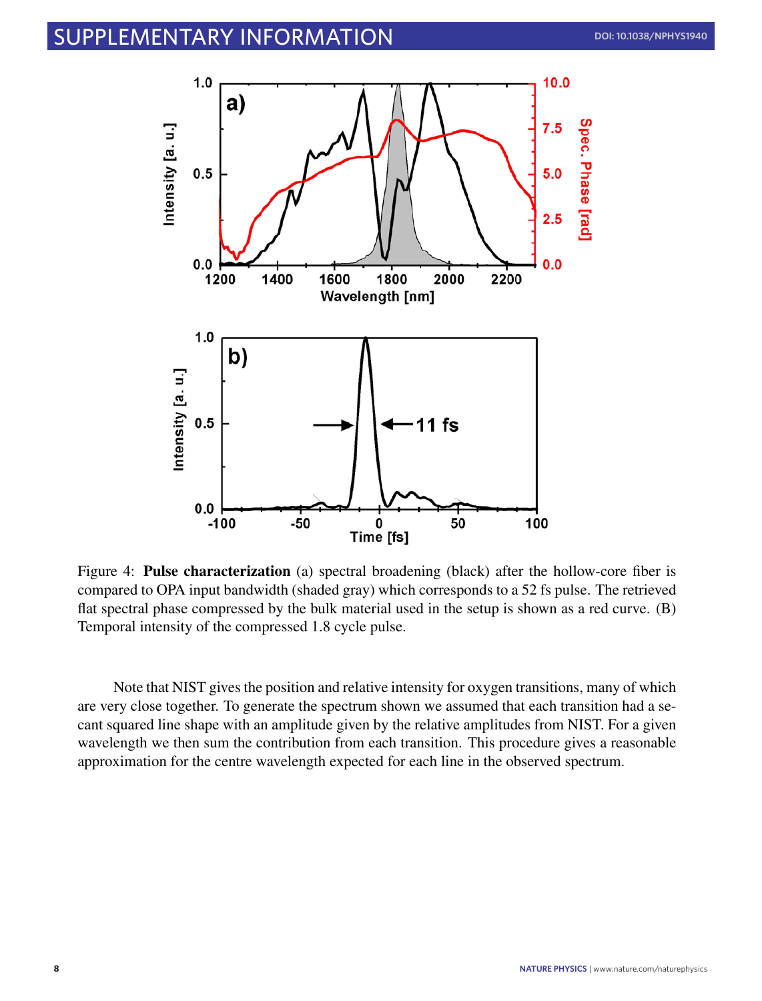

Figure 4: Pulse characterization (a) spectral broadening (black) after the hollow-core fiber is compared to OPA input bandwidth (shaded gray) which corresponds to a 52 fs pulse. The retrieved flat spectral phase compressed by the bulk material used in the setup is shown as a red curve. (B) Temporal intensity of the compressed 1.8 cycle pulse.

Note that NIST gives the position and relative intensity for oxygen transitions, many of which are very close together. To generate the spectrum shown we assumed that each transition had a secant squared line shape with an amplitude given by the relative amplitudes from NIST. For a given wavelength we then sum the contribution from each transition. This procedure gives a reasonable approximation for the centre wavelength expected for each line in the observed spectrum.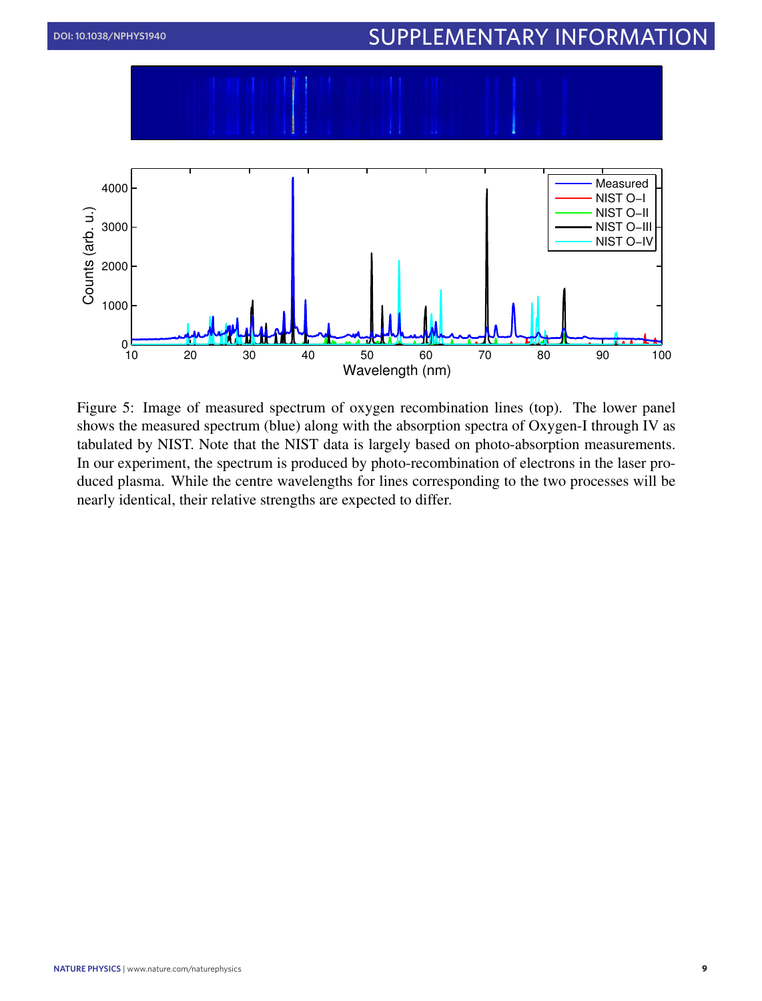

Figure 5: Image of measured spectrum of oxygen recombination lines (top). The lower panel shows the measured spectrum (blue) along with the absorption spectra of Oxygen-I through IV as tabulated by NIST. Note that the NIST data is largely based on photo-absorption measurements. In our experiment, the spectrum is produced by photo-recombination of electrons in the laser produced plasma. While the centre wavelengths for lines corresponding to the two processes will be nearly identical, their relative strengths are expected to differ.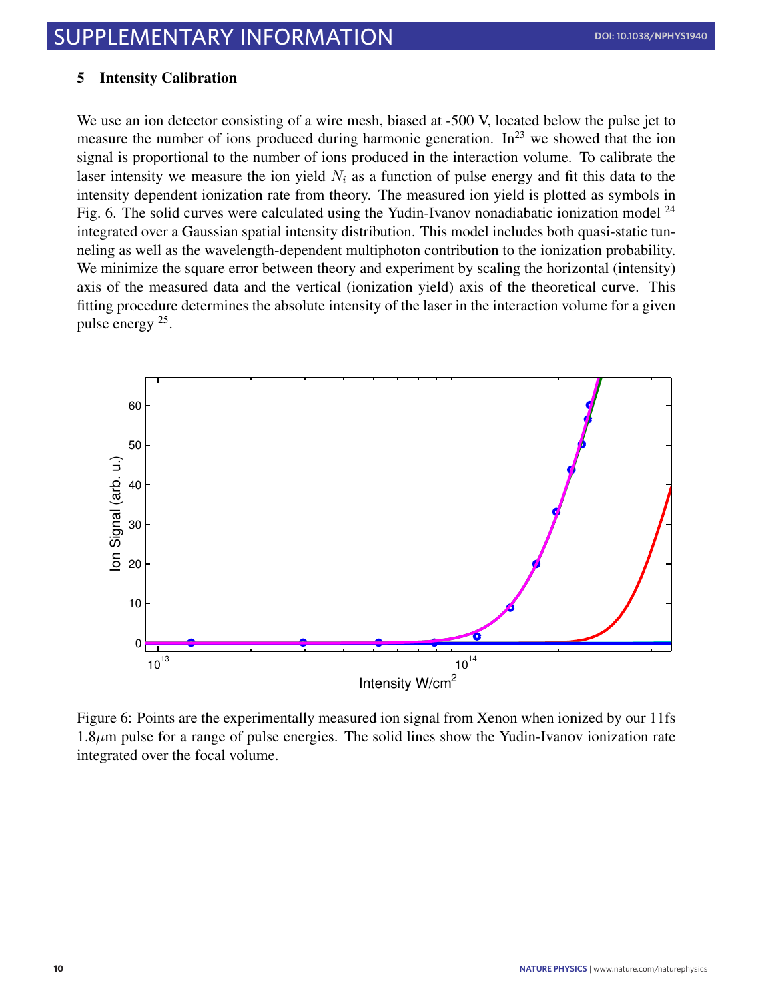### 5 Intensity Calibration

We use an ion detector consisting of a wire mesh, biased at -500 V, located below the pulse jet to measure the number of ions produced during harmonic generation. In<sup>23</sup> we showed that the ion signal is proportional to the number of ions produced in the interaction volume. To calibrate the laser intensity we measure the ion yield  $N_i$  as a function of pulse energy and fit this data to the intensity dependent ionization rate from theory. The measured ion yield is plotted as symbols in Fig. 6. The solid curves were calculated using the Yudin-Ivanov nonadiabatic ionization model <sup>24</sup> integrated over a Gaussian spatial intensity distribution. This model includes both quasi-static tunneling as well as the wavelength-dependent multiphoton contribution to the ionization probability. We minimize the square error between theory and experiment by scaling the horizontal (intensity) axis of the measured data and the vertical (ionization yield) axis of the theoretical curve. This fitting procedure determines the absolute intensity of the laser in the interaction volume for a given pulse energy 25.



Figure 6: Points are the experimentally measured ion signal from Xenon when ionized by our 11fs  $1.8\mu$ m pulse for a range of pulse energies. The solid lines show the Yudin-Ivanov ionization rate integrated over the focal volume.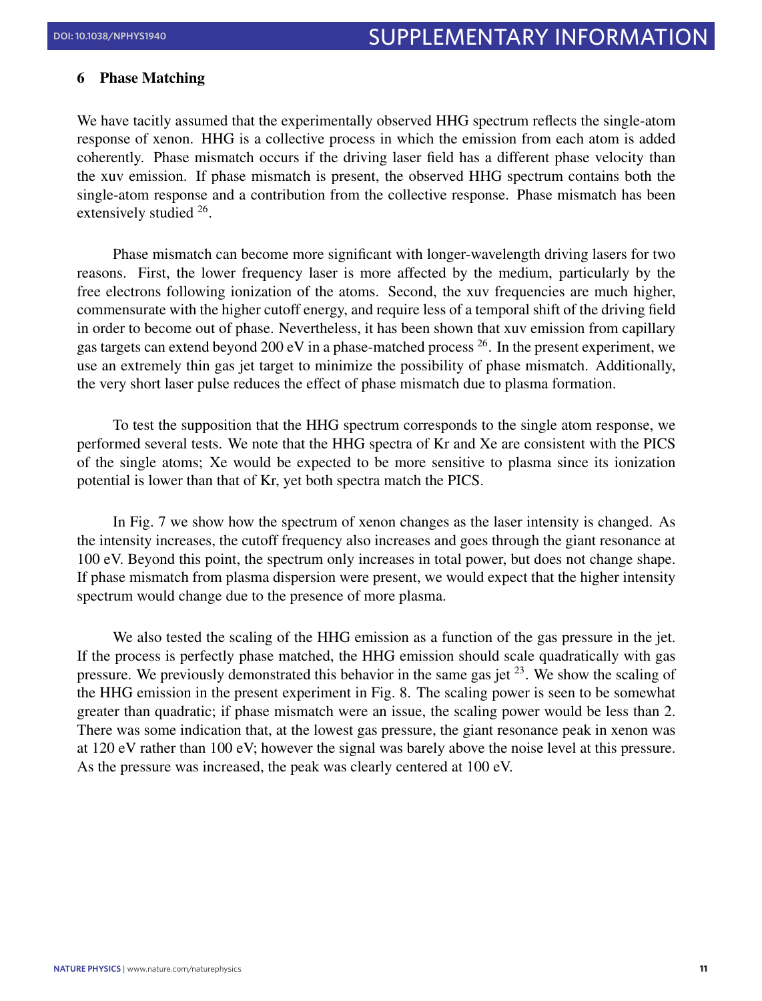### 6 Phase Matching

We have tacitly assumed that the experimentally observed HHG spectrum reflects the single-atom response of xenon. HHG is a collective process in which the emission from each atom is added coherently. Phase mismatch occurs if the driving laser field has a different phase velocity than the xuv emission. If phase mismatch is present, the observed HHG spectrum contains both the single-atom response and a contribution from the collective response. Phase mismatch has been extensively studied <sup>26</sup>.

Phase mismatch can become more significant with longer-wavelength driving lasers for two reasons. First, the lower frequency laser is more affected by the medium, particularly by the free electrons following ionization of the atoms. Second, the xuv frequencies are much higher, commensurate with the higher cutoff energy, and require less of a temporal shift of the driving field in order to become out of phase. Nevertheless, it has been shown that xuv emission from capillary gas targets can extend beyond 200 eV in a phase-matched process  $^{26}$ . In the present experiment, we use an extremely thin gas jet target to minimize the possibility of phase mismatch. Additionally, the very short laser pulse reduces the effect of phase mismatch due to plasma formation.

To test the supposition that the HHG spectrum corresponds to the single atom response, we performed several tests. We note that the HHG spectra of Kr and Xe are consistent with the PICS of the single atoms; Xe would be expected to be more sensitive to plasma since its ionization potential is lower than that of Kr, yet both spectra match the PICS.

In Fig. 7 we show how the spectrum of xenon changes as the laser intensity is changed. As the intensity increases, the cutoff frequency also increases and goes through the giant resonance at 100 eV. Beyond this point, the spectrum only increases in total power, but does not change shape. If phase mismatch from plasma dispersion were present, we would expect that the higher intensity spectrum would change due to the presence of more plasma.

We also tested the scaling of the HHG emission as a function of the gas pressure in the jet. If the process is perfectly phase matched, the HHG emission should scale quadratically with gas pressure. We previously demonstrated this behavior in the same gas jet  $^{23}$ . We show the scaling of the HHG emission in the present experiment in Fig. 8. The scaling power is seen to be somewhat greater than quadratic; if phase mismatch were an issue, the scaling power would be less than 2. There was some indication that, at the lowest gas pressure, the giant resonance peak in xenon was at 120 eV rather than 100 eV; however the signal was barely above the noise level at this pressure. As the pressure was increased, the peak was clearly centered at 100 eV.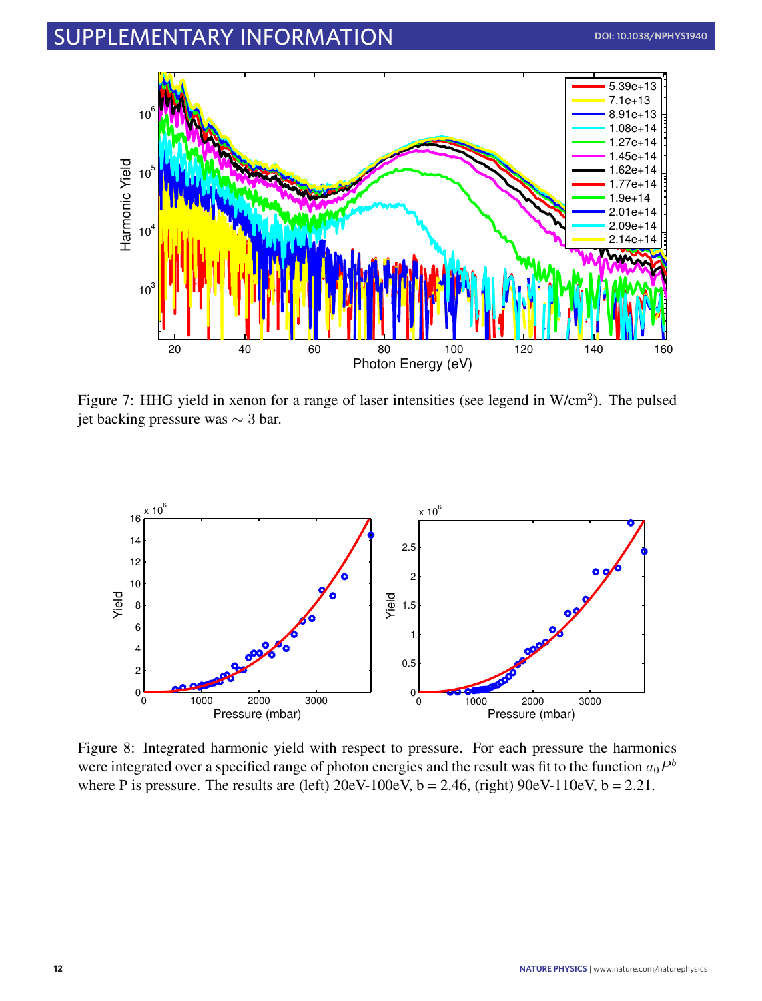

Figure 7: HHG yield in xenon for a range of laser intensities (see legend in W/cm<sup>2</sup>). The pulsed jet backing pressure was ∼ 3 bar.



Figure 8: Integrated harmonic yield with respect to pressure. For each pressure the harmonics were integrated over a specified range of photon energies and the result was fit to the function  $a_0P^b$ where P is pressure. The results are (left)  $20eV-100eV$ ,  $b = 2.46$ , (right)  $90eV-110eV$ ,  $b = 2.21$ .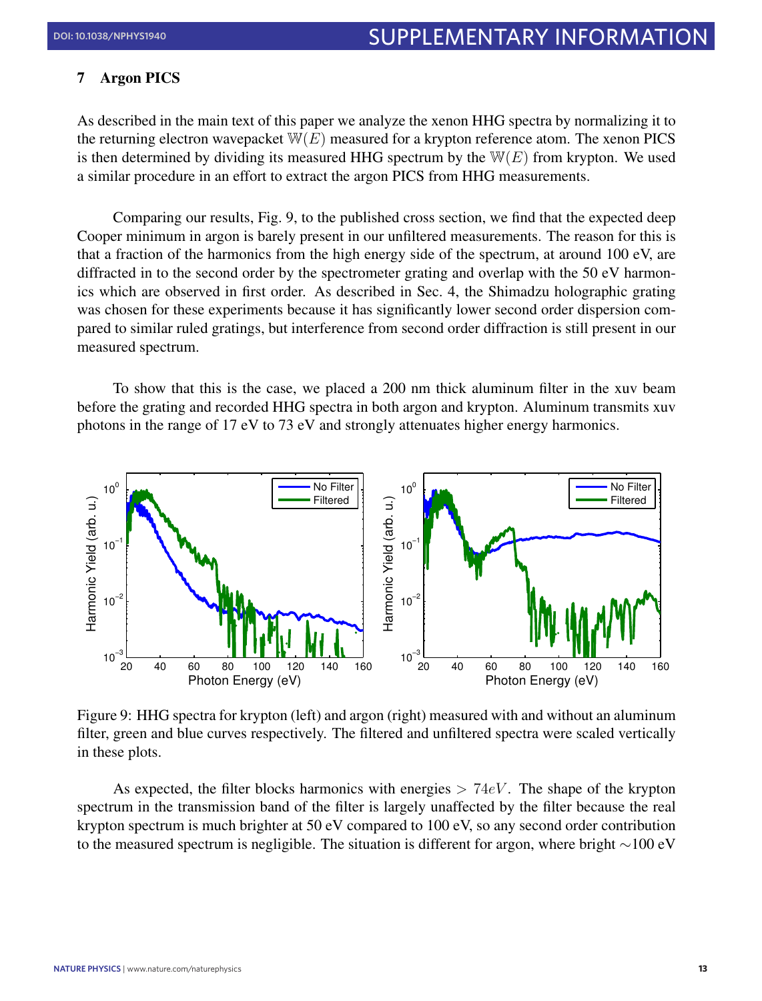### 7 Argon PICS

As described in the main text of this paper we analyze the xenon HHG spectra by normalizing it to the returning electron wavepacket  $W(E)$  measured for a krypton reference atom. The xenon PICS is then determined by dividing its measured HHG spectrum by the  $W(E)$  from krypton. We used a similar procedure in an effort to extract the argon PICS from HHG measurements.

Comparing our results, Fig. 9, to the published cross section, we find that the expected deep Cooper minimum in argon is barely present in our unfiltered measurements. The reason for this is that a fraction of the harmonics from the high energy side of the spectrum, at around 100 eV, are diffracted in to the second order by the spectrometer grating and overlap with the 50 eV harmonics which are observed in first order. As described in Sec. 4, the Shimadzu holographic grating was chosen for these experiments because it has significantly lower second order dispersion compared to similar ruled gratings, but interference from second order diffraction is still present in our measured spectrum.

To show that this is the case, we placed a 200 nm thick aluminum filter in the xuv beam before the grating and recorded HHG spectra in both argon and krypton. Aluminum transmits xuv photons in the range of 17 eV to 73 eV and strongly attenuates higher energy harmonics.



Figure 9: HHG spectra for krypton (left) and argon (right) measured with and without an aluminum filter, green and blue curves respectively. The filtered and unfiltered spectra were scaled vertically in these plots.

As expected, the filter blocks harmonics with energies  $> 74eV$ . The shape of the krypton spectrum in the transmission band of the filter is largely unaffected by the filter because the real krypton spectrum is much brighter at 50 eV compared to 100 eV, so any second order contribution to the measured spectrum is negligible. The situation is different for argon, where bright ∼100 eV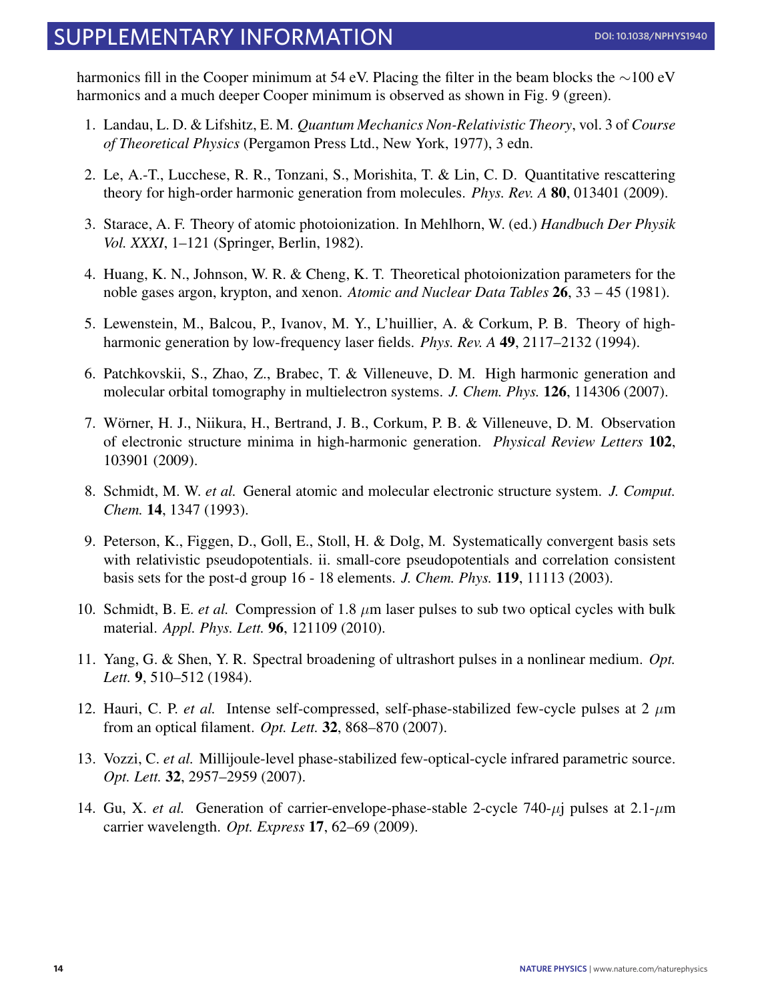harmonics fill in the Cooper minimum at 54 eV. Placing the filter in the beam blocks the ∼100 eV harmonics and a much deeper Cooper minimum is observed as shown in Fig. 9 (green).

- 1. Landau, L. D. & Lifshitz, E. M. *Quantum Mechanics Non-Relativistic Theory*, vol. 3 of *Course of Theoretical Physics* (Pergamon Press Ltd., New York, 1977), 3 edn.
- 2. Le, A.-T., Lucchese, R. R., Tonzani, S., Morishita, T. & Lin, C. D. Quantitative rescattering theory for high-order harmonic generation from molecules. *Phys. Rev. A* 80, 013401 (2009).
- 3. Starace, A. F. Theory of atomic photoionization. In Mehlhorn, W. (ed.) *Handbuch Der Physik Vol. XXXI*, 1–121 (Springer, Berlin, 1982).
- 4. Huang, K. N., Johnson, W. R. & Cheng, K. T. Theoretical photoionization parameters for the noble gases argon, krypton, and xenon. *Atomic and Nuclear Data Tables* 26, 33 – 45 (1981).
- 5. Lewenstein, M., Balcou, P., Ivanov, M. Y., L'huillier, A. & Corkum, P. B. Theory of highharmonic generation by low-frequency laser fields. *Phys. Rev. A* 49, 2117–2132 (1994).
- 6. Patchkovskii, S., Zhao, Z., Brabec, T. & Villeneuve, D. M. High harmonic generation and molecular orbital tomography in multielectron systems. *J. Chem. Phys.* 126, 114306 (2007).
- 7. Worner, H. J., Niikura, H., Bertrand, J. B., Corkum, P. B. & Villeneuve, D. M. Observation ¨ of electronic structure minima in high-harmonic generation. *Physical Review Letters* 102, 103901 (2009).
- 8. Schmidt, M. W. *et al.* General atomic and molecular electronic structure system. *J. Comput. Chem.* 14, 1347 (1993).
- 9. Peterson, K., Figgen, D., Goll, E., Stoll, H. & Dolg, M. Systematically convergent basis sets with relativistic pseudopotentials. ii. small-core pseudopotentials and correlation consistent basis sets for the post-d group 16 - 18 elements. *J. Chem. Phys.* 119, 11113 (2003).
- 10. Schmidt, B. E. *et al.* Compression of 1.8 µm laser pulses to sub two optical cycles with bulk material. *Appl. Phys. Lett.* 96, 121109 (2010).
- 11. Yang, G. & Shen, Y. R. Spectral broadening of ultrashort pulses in a nonlinear medium. *Opt. Lett.* 9, 510–512 (1984).
- 12. Hauri, C. P. *et al.* Intense self-compressed, self-phase-stabilized few-cycle pulses at  $2 \mu m$ from an optical filament. *Opt. Lett.* 32, 868–870 (2007).
- 13. Vozzi, C. *et al.* Millijoule-level phase-stabilized few-optical-cycle infrared parametric source. *Opt. Lett.* 32, 2957–2959 (2007).
- 14. Gu, X. *et al.* Generation of carrier-envelope-phase-stable 2-cycle 740- $\mu$ *i* pulses at 2.1- $\mu$ m carrier wavelength. *Opt. Express* 17, 62–69 (2009).